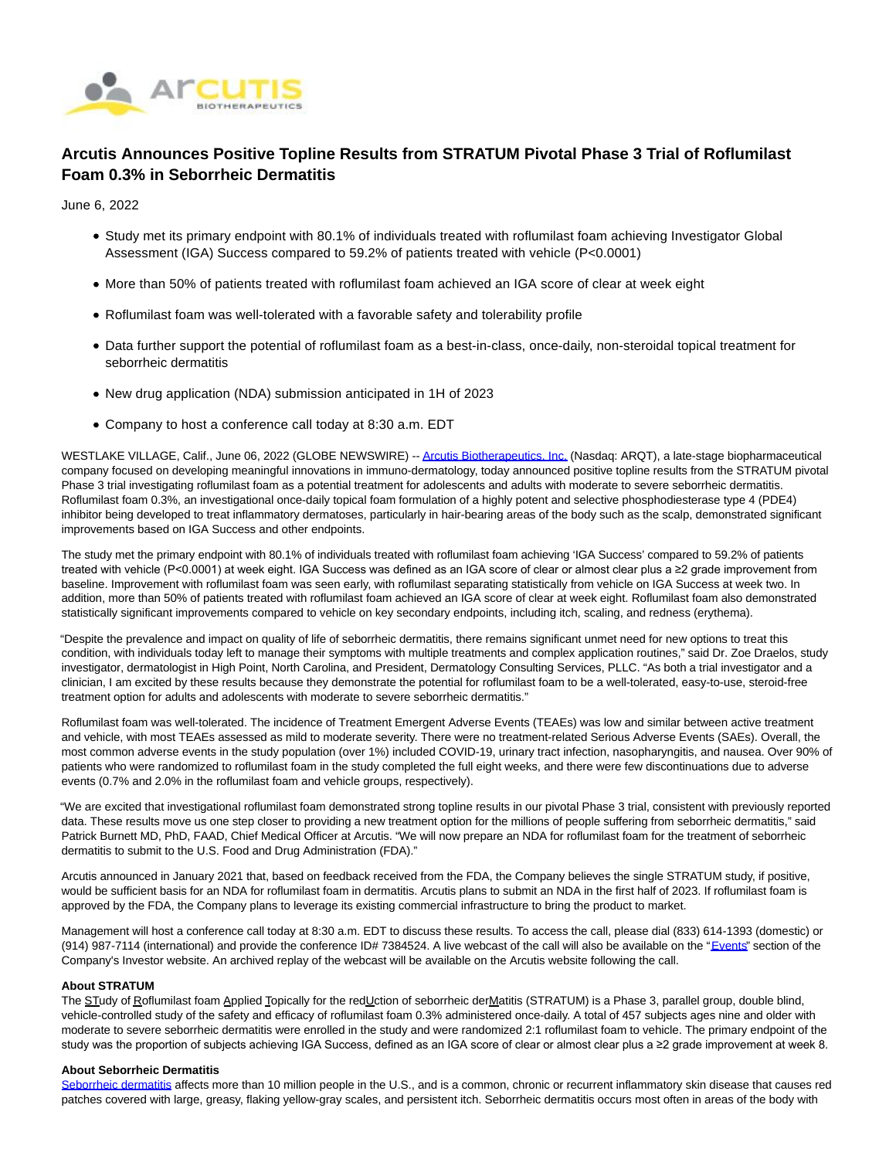

# **Arcutis Announces Positive Topline Results from STRATUM Pivotal Phase 3 Trial of Roflumilast Foam 0.3% in Seborrheic Dermatitis**

June 6, 2022

- Study met its primary endpoint with 80.1% of individuals treated with roflumilast foam achieving Investigator Global Assessment (IGA) Success compared to 59.2% of patients treated with vehicle (P<0.0001)
- More than 50% of patients treated with roflumilast foam achieved an IGA score of clear at week eight
- Roflumilast foam was well-tolerated with a favorable safety and tolerability profile
- Data further support the potential of roflumilast foam as a best-in-class, once-daily, non-steroidal topical treatment for seborrheic dermatitis
- New drug application (NDA) submission anticipated in 1H of 2023
- Company to host a conference call today at 8:30 a.m. EDT

WESTLAKE VILLAGE, Calif., June 06, 2022 (GLOBE NEWSWIRE) -[- Arcutis Biotherapeutics, Inc. \(](https://www.globenewswire.com/Tracker?data=ennAWdtE_ivdoDenv2S9lqWylBMiETTlOO8BI2imSxoSE0DOfTEtFuVRHQyy4-BndZgS3DSyFYB_bGQjpdn25RTYXrecyzfgWW8gN46kYNo=)Nasdaq: ARQT), a late-stage biopharmaceutical company focused on developing meaningful innovations in immuno-dermatology, today announced positive topline results from the STRATUM pivotal Phase 3 trial investigating roflumilast foam as a potential treatment for adolescents and adults with moderate to severe seborrheic dermatitis. Roflumilast foam 0.3%, an investigational once-daily topical foam formulation of a highly potent and selective phosphodiesterase type 4 (PDE4) inhibitor being developed to treat inflammatory dermatoses, particularly in hair-bearing areas of the body such as the scalp, demonstrated significant improvements based on IGA Success and other endpoints.

The study met the primary endpoint with 80.1% of individuals treated with roflumilast foam achieving 'IGA Success' compared to 59.2% of patients treated with vehicle (P<0.0001) at week eight. IGA Success was defined as an IGA score of clear or almost clear plus a ≥2 grade improvement from baseline. Improvement with roflumilast foam was seen early, with roflumilast separating statistically from vehicle on IGA Success at week two. In addition, more than 50% of patients treated with roflumilast foam achieved an IGA score of clear at week eight. Roflumilast foam also demonstrated statistically significant improvements compared to vehicle on key secondary endpoints, including itch, scaling, and redness (erythema).

"Despite the prevalence and impact on quality of life of seborrheic dermatitis, there remains significant unmet need for new options to treat this condition, with individuals today left to manage their symptoms with multiple treatments and complex application routines," said Dr. Zoe Draelos, study investigator, dermatologist in High Point, North Carolina, and President, Dermatology Consulting Services, PLLC. "As both a trial investigator and a clinician, I am excited by these results because they demonstrate the potential for roflumilast foam to be a well-tolerated, easy-to-use, steroid-free treatment option for adults and adolescents with moderate to severe seborrheic dermatitis."

Roflumilast foam was well-tolerated. The incidence of Treatment Emergent Adverse Events (TEAEs) was low and similar between active treatment and vehicle, with most TEAEs assessed as mild to moderate severity. There were no treatment-related Serious Adverse Events (SAEs). Overall, the most common adverse events in the study population (over 1%) included COVID-19, urinary tract infection, nasopharyngitis, and nausea. Over 90% of patients who were randomized to roflumilast foam in the study completed the full eight weeks, and there were few discontinuations due to adverse events (0.7% and 2.0% in the roflumilast foam and vehicle groups, respectively).

"We are excited that investigational roflumilast foam demonstrated strong topline results in our pivotal Phase 3 trial, consistent with previously reported data. These results move us one step closer to providing a new treatment option for the millions of people suffering from seborrheic dermatitis," said Patrick Burnett MD, PhD, FAAD, Chief Medical Officer at Arcutis. "We will now prepare an NDA for roflumilast foam for the treatment of seborrheic dermatitis to submit to the U.S. Food and Drug Administration (FDA)."

Arcutis announced in January 2021 that, based on feedback received from the FDA, the Company believes the single STRATUM study, if positive, would be sufficient basis for an NDA for roflumilast foam in dermatitis. Arcutis plans to submit an NDA in the first half of 2023. If roflumilast foam is approved by the FDA, the Company plans to leverage its existing commercial infrastructure to bring the product to market.

Management will host a conference call today at 8:30 a.m. EDT to discuss these results. To access the call, please dial (833) 614-1393 (domestic) or (914) 987-7114 (international) and provide the conference ID# 7384524. A live webcast of the call will also be available on the ["Events"](https://www.globenewswire.com/Tracker?data=_u7GhAQCqqToUKPUD1MjjhVFadn0S_iuzkXbeDPwqKRFDyBeYaMZTo8-ghyMVOTuPA827eusSCpE682Vc6MD37pRw9Q1TtA8hZBv5LkvOHj4JDvRAc-GR96VdgVtFIULFrFBZCVrj_XJ023Sa70UcA==) section of the Company's Investor website. An archived replay of the webcast will be available on the Arcutis website following the call.

## **About STRATUM**

The STudy of Roflumilast foam Applied Topically for the redUction of seborrheic derMatitis (STRATUM) is a Phase 3, parallel group, double blind, vehicle-controlled study of the safety and efficacy of roflumilast foam 0.3% administered once-daily. A total of 457 subjects ages nine and older with moderate to severe seborrheic dermatitis were enrolled in the study and were randomized 2:1 roflumilast foam to vehicle. The primary endpoint of the study was the proportion of subjects achieving IGA Success, defined as an IGA score of clear or almost clear plus a ≥2 grade improvement at week 8.

## **About Seborrheic Dermatitis**

[Seborrheic dermatitis a](https://www.globenewswire.com/Tracker?data=Y-LVI3deDoDE0rG6vQaE0c1MpHB3Do6zeX02Lc3axy0VZ_wuXc9OxUuhTKAiDGltDpZ1u5umy7gz7zApc3h00J3luzMlqzU_yMR7lmNUugmjbHKsC81t3vbo7XRyp_56MmEORjGffanMB_FyoX0Gww==)ffects more than 10 million people in the U.S., and is a common, chronic or recurrent inflammatory skin disease that causes red patches covered with large, greasy, flaking yellow-gray scales, and persistent itch. Seborrheic dermatitis occurs most often in areas of the body with